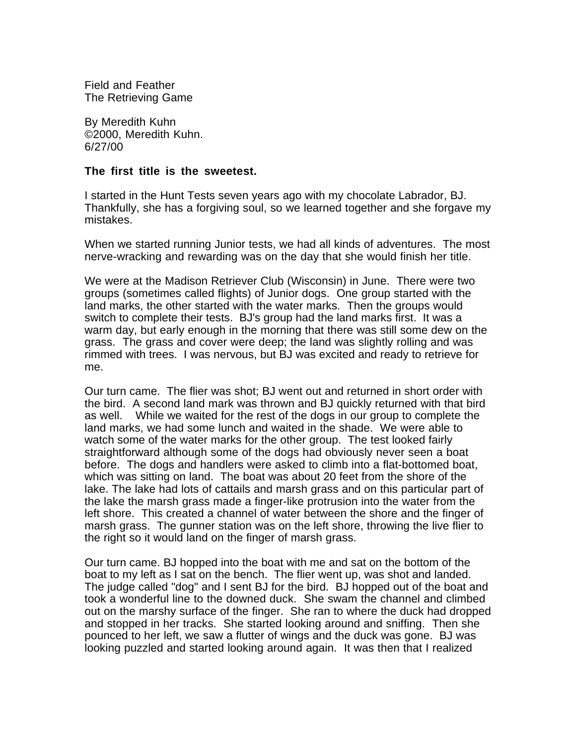Field and Feather The Retrieving Game

By Meredith Kuhn ©2000, Meredith Kuhn. 6/27/00

## **The first title is the sweetest.**

I started in the Hunt Tests seven years ago with my chocolate Labrador, BJ. Thankfully, she has a forgiving soul, so we learned together and she forgave my mistakes.

When we started running Junior tests, we had all kinds of adventures. The most nerve-wracking and rewarding was on the day that she would finish her title.

We were at the Madison Retriever Club (Wisconsin) in June. There were two groups (sometimes called flights) of Junior dogs. One group started with the land marks, the other started with the water marks. Then the groups would switch to complete their tests. BJ's group had the land marks first. It was a warm day, but early enough in the morning that there was still some dew on the grass. The grass and cover were deep; the land was slightly rolling and was rimmed with trees. I was nervous, but BJ was excited and ready to retrieve for me.

Our turn came. The flier was shot; BJ went out and returned in short order with the bird. A second land mark was thrown and BJ quickly returned with that bird as well. While we waited for the rest of the dogs in our group to complete the land marks, we had some lunch and waited in the shade. We were able to watch some of the water marks for the other group. The test looked fairly straightforward although some of the dogs had obviously never seen a boat before. The dogs and handlers were asked to climb into a flat-bottomed boat, which was sitting on land. The boat was about 20 feet from the shore of the lake. The lake had lots of cattails and marsh grass and on this particular part of the lake the marsh grass made a finger-like protrusion into the water from the left shore. This created a channel of water between the shore and the finger of marsh grass. The gunner station was on the left shore, throwing the live flier to the right so it would land on the finger of marsh grass.

Our turn came. BJ hopped into the boat with me and sat on the bottom of the boat to my left as I sat on the bench. The flier went up, was shot and landed. The judge called "dog" and I sent BJ for the bird. BJ hopped out of the boat and took a wonderful line to the downed duck. She swam the channel and climbed out on the marshy surface of the finger. She ran to where the duck had dropped and stopped in her tracks. She started looking around and sniffing. Then she pounced to her left, we saw a flutter of wings and the duck was gone. BJ was looking puzzled and started looking around again. It was then that I realized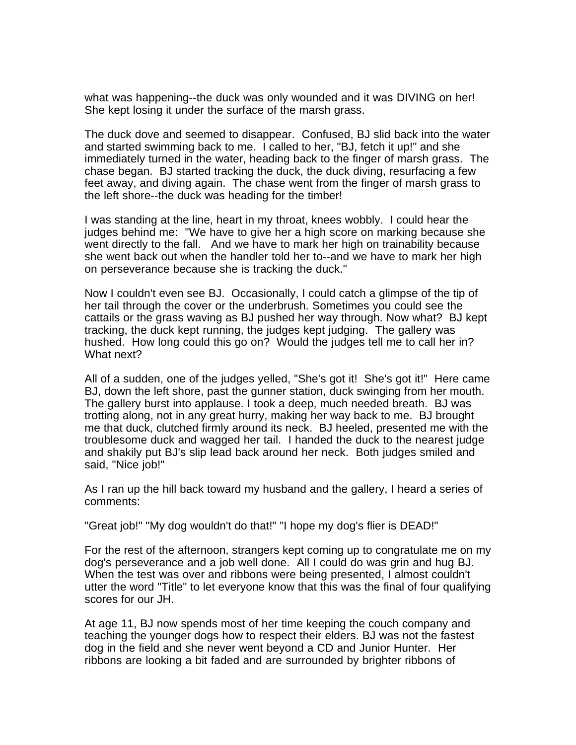what was happening--the duck was only wounded and it was DIVING on her! She kept losing it under the surface of the marsh grass.

The duck dove and seemed to disappear. Confused, BJ slid back into the water and started swimming back to me. I called to her, "BJ, fetch it up!" and she immediately turned in the water, heading back to the finger of marsh grass. The chase began. BJ started tracking the duck, the duck diving, resurfacing a few feet away, and diving again. The chase went from the finger of marsh grass to the left shore--the duck was heading for the timber!

I was standing at the line, heart in my throat, knees wobbly. I could hear the judges behind me: "We have to give her a high score on marking because she went directly to the fall. And we have to mark her high on trainability because she went back out when the handler told her to--and we have to mark her high on perseverance because she is tracking the duck."

Now I couldn't even see BJ. Occasionally, I could catch a glimpse of the tip of her tail through the cover or the underbrush. Sometimes you could see the cattails or the grass waving as BJ pushed her way through. Now what? BJ kept tracking, the duck kept running, the judges kept judging. The gallery was hushed. How long could this go on? Would the judges tell me to call her in? What next?

All of a sudden, one of the judges yelled, "She's got it! She's got it!" Here came BJ, down the left shore, past the gunner station, duck swinging from her mouth. The gallery burst into applause. I took a deep, much needed breath. BJ was trotting along, not in any great hurry, making her way back to me. BJ brought me that duck, clutched firmly around its neck. BJ heeled, presented me with the troublesome duck and wagged her tail. I handed the duck to the nearest judge and shakily put BJ's slip lead back around her neck. Both judges smiled and said, "Nice job!"

As I ran up the hill back toward my husband and the gallery, I heard a series of comments:

"Great job!" "My dog wouldn't do that!" "I hope my dog's flier is DEAD!"

For the rest of the afternoon, strangers kept coming up to congratulate me on my dog's perseverance and a job well done. All I could do was grin and hug BJ. When the test was over and ribbons were being presented, I almost couldn't utter the word "Title" to let everyone know that this was the final of four qualifying scores for our JH.

At age 11, BJ now spends most of her time keeping the couch company and teaching the younger dogs how to respect their elders. BJ was not the fastest dog in the field and she never went beyond a CD and Junior Hunter. Her ribbons are looking a bit faded and are surrounded by brighter ribbons of